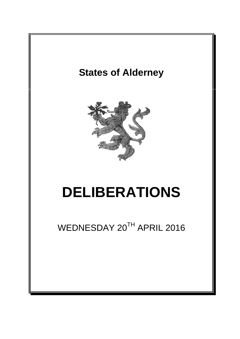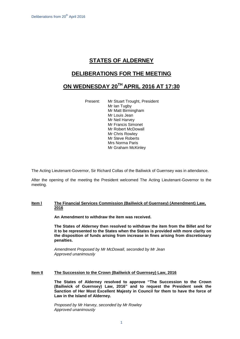## **STATES OF ALDERNEY**

## **DELIBERATIONS FOR THE MEETING**

# **ON WEDNESDAY 20 TH APRIL 2016 AT 17:30**

Present: Mr Stuart Trought, President Mr Ian Tugby Mr Matt Birmingham Mr Louis Jean Mr Neil Harvey Mr Francis Simonet Mr Robert McDowall Mr Chris Rowley Mr Steve Roberts Mrs Norma Paris Mr Graham McKinley

The Acting Lieutenant-Governor, Sir Richard Collas of the Bailiwick of Guernsey was in attendance.

After the opening of the meeting the President welcomed The Acting Lieutenant-Governor to the meeting.

### **Item l The Financial Services Commission (Bailiwick of Guernsey) (Amendment) Law, 2016**

**An Amendment to withdraw the item was received.**

**The States of Alderney then resolved to withdraw the item from the Billet and for it to be represented to the States when the States is provided with more clarity on the disposition of funds arising from increase in fines arising from discretionary penalties.**

*Amendment Proposed by Mr McDowall, seconded by Mr Jean Approved unanimously*

### **Item II The Succession to the Crown (Bailiwick of Guernsey) Law, 2016**

**The States of Alderney resolved to approve "The Succession to the Crown (Bailiwick of Guernsey) Law, 2016" and to request the President seek the Sanction of Her Most Excellent Majesty in Council for them to have the force of Law in the Island of Alderney.**

*Proposed by Mr Harvey, seconded by Mr Rowley Approved unanimously*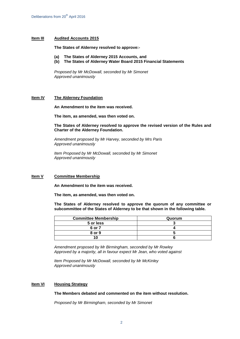#### **Item III Audited Accounts 2015**

**The States of Alderney resolved to approve:-**

- **(a) The States of Alderney 2015 Accounts, and**
- **(b) The States of Alderney Water Board 2015 Financial Statements**

*Proposed by Mr McDowall, seconded by Mr Simonet Approved unanimously*

#### **Item IV The Alderney Foundation**

**An Amendment to the item was received.**

**The item, as amended, was then voted on.**

**The States of Alderney resolved to approve the revised version of the Rules and Charter of the Alderney Foundation.**

*Amendment proposed by Mr Harvey, seconded by Mrs Paris Approved unanimously* 

*Item Proposed by Mr McDowall, seconded by Mr Simonet Approved unanimously*

#### **Item V Committee Membership**

**An Amendment to the item was received.**

**The item, as amended, was then voted on.**

**The States of Alderney resolved to approve the quorum of any committee or subcommittee of the States of Alderney to be that shown in the following table.**

| <b>Committee Membership</b> | Quorum |
|-----------------------------|--------|
| 5 or less                   |        |
| 6 or 7                      |        |
| 8 or 9                      |        |
|                             |        |

*Amendment proposed by Mr Birmingham, seconded by Mr Rowley Approved by a majority, all in favour expect Mr Jean, who voted against*

*Item Proposed by Mr McDowall, seconded by Mr McKinley Approved unanimously*

### **Item VI Housing Strategy**

**The Members debated and commented on the item without resolution.**

*Proposed by Mr Birmingham, seconded by Mr Simonet*